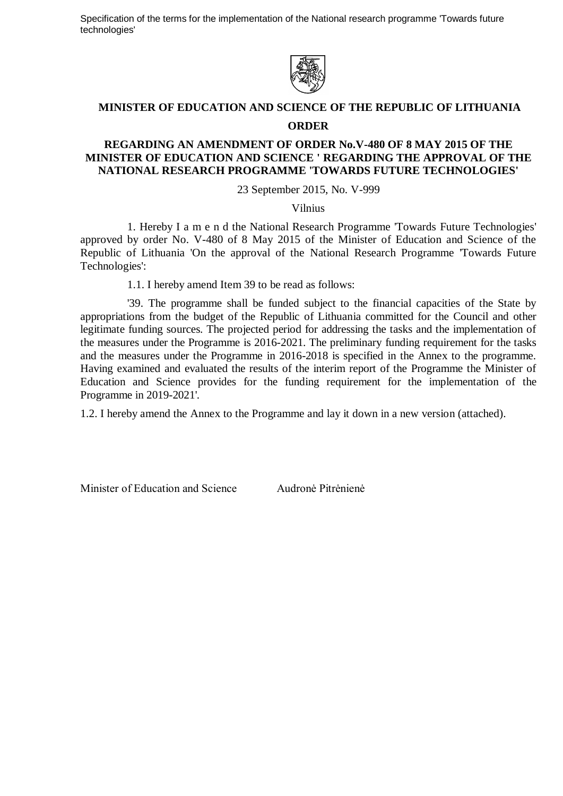Specification of the terms for the implementation of the National research programme 'Towards future technologies'



### **MINISTER OF EDUCATION AND SCIENCE OF THE REPUBLIC OF LITHUANIA**

#### **ORDER**

### **REGARDING AN AMENDMENT OF ORDER No.V-480 OF 8 MAY 2015 OF THE MINISTER OF EDUCATION AND SCIENCE ' REGARDING THE APPROVAL OF THE NATIONAL RESEARCH PROGRAMME 'TOWARDS FUTURE TECHNOLOGIES'**

23 September 2015, No. V-999

Vilnius

1. Hereby I a m e n d the National Research Programme 'Towards Future Technologies' approved by order No. V-480 of 8 May 2015 of the Minister of Education and Science of the Republic of Lithuania 'On the approval of the National Research Programme 'Towards Future Technologies':

1.1. I hereby amend Item 39 to be read as follows:

'39. The programme shall be funded subject to the financial capacities of the State by appropriations from the budget of the Republic of Lithuania committed for the Council and other legitimate funding sources. The projected period for addressing the tasks and the implementation of the measures under the Programme is 2016-2021. The preliminary funding requirement for the tasks and the measures under the Programme in 2016-2018 is specified in the Annex to the programme. Having examined and evaluated the results of the interim report of the Programme the Minister of Education and Science provides for the funding requirement for the implementation of the Programme in 2019-2021'.

1.2. I hereby amend the Annex to the Programme and lay it down in a new version (attached).

Minister of Education and Science Audronė Pitrėnienė